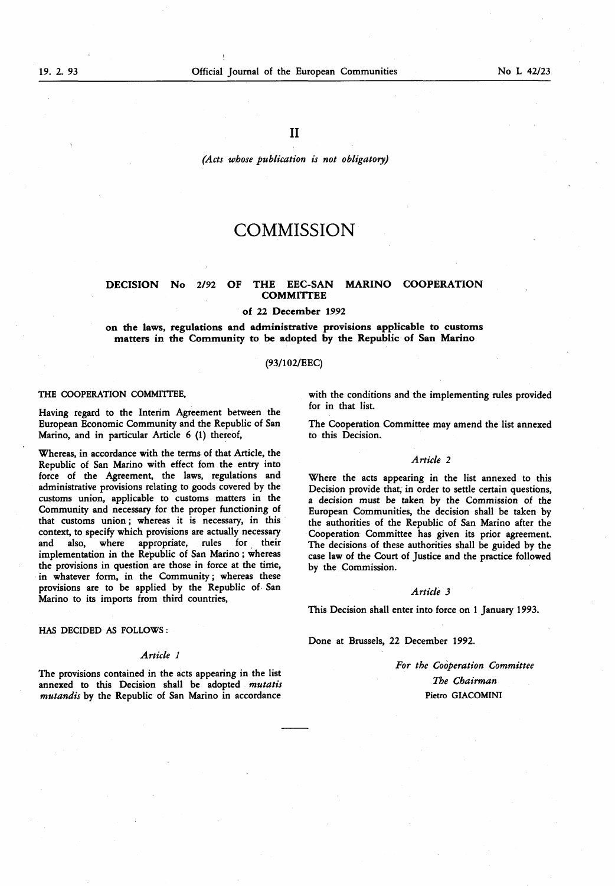# (Acts whose publication is not obligatory)

# **COMMISSION**

# DECISION No 2/92 OF THE EEC-SAN MARINO COOPERATION **COMMITTEE**

#### of 22 December 1992

on the laws, regulations and administrative provisions applicable to customs matters in the Community to be adopted by the Republic of San Marino

# (93/102/EEC)

#### THE COOPERATION COMMITTEE,

Having regard to the Interim Agreement between the European Economic Community and the Republic of San Marino, and in particular Article 6 (1) thereof,

Whereas, in accordance with the terms of that Article, the Republic of San Marino with effect fom the entry into force of the Agreement, the laws, regulations and administrative provisions relating to goods covered by the customs union, applicable to customs matters in the Community and necessary for the proper functioning of that customs union ; whereas it is necessary, in this context, to specify which provisions are actually necessary and also, where appropriate, rules for their implementation in the Republic of San Marino ; whereas the provisions in question are those in force at the time, in whatever form, in the Community ; whereas these provisions are to be applied by the Republic of San Marino to its imports from third countries,

HAS DECIDED AS FOLLOWS :

#### Article <sup>1</sup>

The provisions contained in the acts appearing in the list annexed to this Decision shall be adopted mutatis mutandis by the Republic of San Marino in accordance

with the conditions and the implementing rules provided for in that list.

The Cooperation Committee may amend the list annexed to this Decision.

# Article 2

Where the acts appearing in the list annexed to this Decision provide that, in order to settle certain questions, a decision must be taken by the Commission of the European Communities, the decision shall be taken by the authorities of the Republic of San Marino after the Cooperation Committee has given its prior agreement. The decisions of these authorities shall be guided by the case law of the Court of Justice and the practice followed by the Commission.

# Article 3

This Decision shall enter into force on <sup>1</sup> January 1993.

Done at Brussels, 22 December 1992.

For the Cooperation Committee The Chairman Pietro GIACOMINI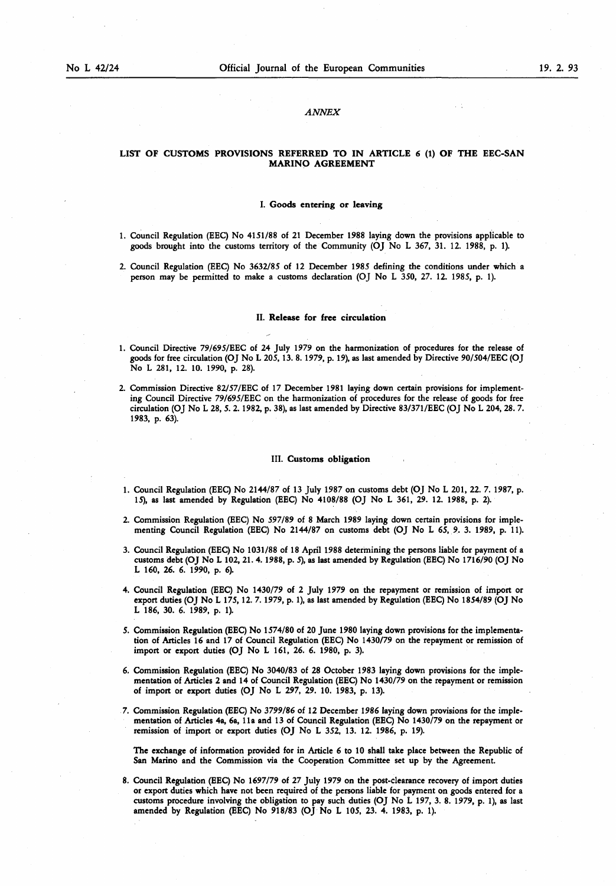# ANNEX

# LIST OF CUSTOMS PROVISIONS REFERRED TO IN ARTICLE 6 (1) OF THE EEC-SAN MARINO AGREEMENT

#### I. Goods entering or leaving

- <sup>1</sup> . Council Regulation (EEC) No 4151 /88 of <sup>21</sup> December 1988 laying down the provisions applicable to goods brought into the customs territory of the Community (OJ No L 367, 31 . 12. 1988, p. <sup>1</sup> ).
- 2. Council Regulation (EEC) No 3632/85 of 12 December 1985 defining the conditions under which a person may be permitted to make a customs declaration (OJ No L 350, 27. 12. 1985, p. 1).

### II. Release for free circulation

- <sup>1</sup> . Council Directive 79/695/EEC of 24 July 1979 on the harmonization of procedures for the release of goods for free circulation (OJ No <sup>L</sup> 205, 13. <sup>8</sup> . 1979, p. 19), as last amended by Directive 90/504/EEC (OJ No L 281, 12. 10. 1990, p. 28).
- 2. Commission Directive 82/57/EEC of 17 December 1981 laying down certain provisions for implementing Council Directive 79/695/EEC on the harmonization of procedures for the release of goods for free circulation (OJ No L 28, 5. 2. 1982, p. 38), as last amended by Directive 83/371 /EEC (OJ No L 204, 28. 7. 1983, p. 63).

#### III. Customs obligation

- 1. Council Regulation (EEC) No 2144/87 of 13 July 1987 on customs debt (OJ No L 201, 22. 7. 1987, p. 15), as last amended by Regulation (EEC) No 4108/88 (OJ No L 361 , 29. 12. 1988, p. 2).
- 2. Commission Regulation (EEC) No 597/89 of <sup>8</sup> March 1989 laying down certain provisions for implementing Council Regulation (EEC) No 2144/87 on customs debt (OJ No L 65, 9. 3. 1989, p. 11).
- 3. Council Regulation (EEC) No 1031 /88 of 18 April 1988 determining the persons liable for payment of a customs debt (OJ No L 102, <sup>21</sup> . 4. 1988, p. 5), as last amended by Regulation (EEC) No 1716/90 (OJ No L 160, 26. 6. 1990, p. 6).
- 4. Council Regulation (EEC) No 1430/79 of 2 July 1979 on the repayment or remission of import or export duties (OJ No L 175, 12. 7. 1979, p. <sup>1</sup> ), as last amended by Regulation (EEC) No 1854/89 (OJ No L 186, 30. 6. 1989, p. 1).
- 5. Commission Regulation (EEC) No 1574/80 of 20 June 1980 laying down provisions for the implementation of Articles 16 and 17 of Council Regulation (EEC) No 1430/79 on the repayment or remission of import or export duties (OJ No L 161, 26. 6. 1980, p. 3).
- 6. Commission Regulation (EEC) No 3040/83 of 28 October 1983 laying down provisions for the implementation of Articles 2 and 14 of Council Regulation (EEC) No 1430/79 on the repayment or remission of import or export duties (OJ No L 297, 29. 10. 1983, p. 13).
- 7. Commission Regulation (EEC) No 3799/86 of <sup>12</sup> December 1986 laying down provisions for the implementation of Articles 4a, 6a, 11a and 13 of Council Regulation (EEC) No 1430/79 on the repayment or remission of import or export duties (OJ No L 352, 13. 12. 1986, p. 19).

The exchange of information provided for in Article 6 to 10 shall take place between the Republic of San Marino and the Commission via the Cooperation Committee set up by the Agreement.

<sup>8</sup> . Council Regulation (EEC) No 1697/79 of 27 July 1979 on the post-clearance recovery of import duties or export duties which have not been required of the persons liable for payment on goods entered for a customs procedure involving the obligation to pay such duties (OJ No L 197, 3. 8. 1979, p. <sup>1</sup> ), as last amended by Regulation (EEC) No 918/83 (OJ No L 105, 23. 4. 1983, p. 1).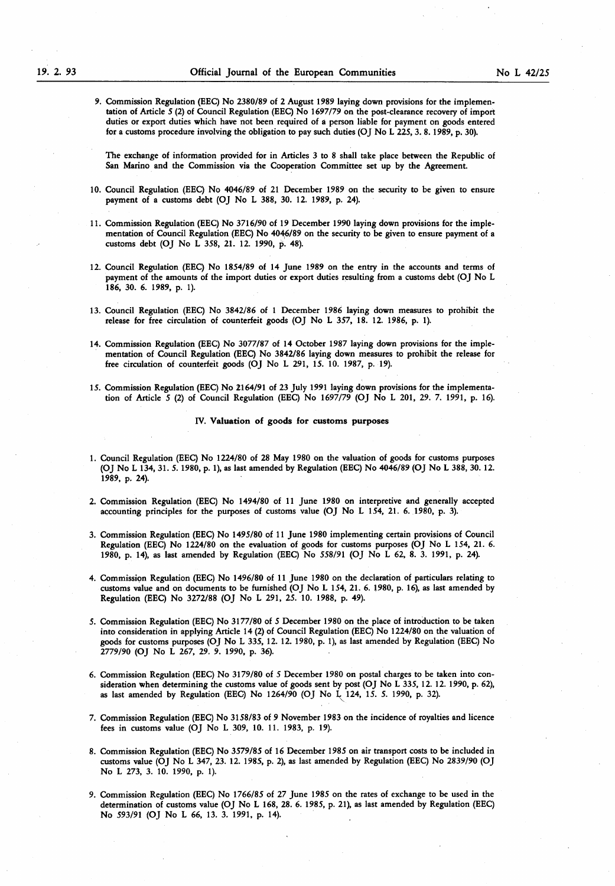9. Commission Regulation (EEC) No 2380/89 of 2 August 1989 laying down provisions for the implementation of Article 5 (2) of Council Regulation (EEC) No 1697/79 on the post-clearance recovery of import duties or export duties which have not been required of a person liable for payment on goods entered for a customs procedure involving the obligation to pay such duties (OJ No <sup>L</sup> 225, 3. <sup>8</sup> . 1989, p. 30).

The exchange of information provided for in Articles 3 to 8 shall take place between the Republic of San Marino and the Commission via the Cooperation Committee set up by the Agreement.

- 10. Council Regulation (EEC) No 4046/89 of <sup>21</sup> December 1989 on the security to be given to ensure payment of a customs debt (OJ No L 388, 30. 12. 1989, p. 24).
- <sup>11</sup> . Commission Regulation (EEC) No 3716/90 of <sup>19</sup> December 1990 laying down provisions for the implementation of Council Regulation (EEC) No 4046/89 on the security to be given to ensure payment of a customs debt (OJ No L 358, 21. 12. 1990, p. 48).
- 12. Council Regulation (EEC) No 1854/89 of 14 June 1989 on the entry in the accounts and terms of payment of the amounts of the import duties or export duties resulting from a customs debt (OJ No L 186, 30. 6. 1989, p. 1).
- 13. Council Regulation (EEC) No 3842/86 of <sup>1</sup> December 1986 laying down measures to prohibit the release for free circulation of counterfeit goods (OJ No L 357, 18 . 12. 1986, p. <sup>1</sup> ).
- 14. Commission Regulation (EEC) No 3077/87 of 14 October 1987 laying down provisions for the implementation of Council Regulation (EEC) No 3842/86 laying down measures to prohibit the release for free circulation of counterfeit goods (OJ No L 291, 15. 10. 1987, p. 19).
- 15. Commission Regulation (EEC) No 2164/91 of 23 July <sup>1991</sup> laying down provisions for the implementation of Article 5 (2) of Council Regulation (EEC) No 1697/79 (OJ No L 201, 29. 7. 1991, p. 16).

#### IV. Valuation of goods for customs purposes

- <sup>1</sup> . Council Regulation (EEC) No 1224/80 of 28 May 1980 on the valuation of goods for customs purposes (OJ No L 134, 31 . 5. 1980, p. <sup>1</sup> ), as last amended by Regulation (EEC) No 4046/89 (OJ No L 388, 30. 12. 1989, p. 24).
- 2. Commission Regulation (EEC) No 1494/80 of <sup>11</sup> June 1980 on interpretive and generally accepted accounting principles for the purposes of customs value (OJ No L 154, 21 . 6. 1980, p. 3).
- 3. Commission Regulation (EEC) No 1495/80 of <sup>11</sup> June 1980 implementing certain provisions of Council Regulation (EEC) No 1224/80 on the evaluation of goods for customs purposes (OJ No L 154, <sup>21</sup> . 6. 1980, p. 14), as last amended by Regulation (EEC) No 558/91 (OJ No L 62, 8. 3 . 1991 , p. 24).
- 4. Commission Regulation (EEC) No 1496/80 of <sup>11</sup> June 1980 on the declaration of particulars relating to customs value and on documents to be furnished (OJ No L 154, 21 . 6. 1980, p. 16), as last amended by Regulation (EEC) No 3272/88 (OJ No L 291, 25. 10. 1988, p. 49).
- 5. Commission Regulation (EEC) No 3177/80 of 5 December 1980 on the place of introduction to be taken into consideration in applying Article 14 (2) of Council Regulation (EEC) No 1224/80 on the valuation of goods for customs purposes (OJ No L 335, 12. 12. 1980, p. <sup>1</sup> ), as last amended by Regulation (EEC) No 2779/90 (OJ No L 267, 29. 9. 1990, p. 36).
- 6. Commission Regulation (EEC) No 3179/80 of 5 December 1980 on postal charges to be taken into consideration when determining the customs value of goods sent by post (OJ No L 335, 12. 12. 1990, p. 62), as last amended by Regulation (EEC) No 1264/90 (OJ No <sup>L</sup> 124, 15. 5. 1990, p. 32).
- 7. Commission Regulation (EEC) No 3158/83 of 9 November 1983 on the incidence of royalties and licence fees in customs value (OJ No L 309, 10. 11 . 1983, p. 19).
- <sup>8</sup> . Commission Regulation (EEC) No 3579/85 of 16 December 1985 on air transport costs to be included in customs value (OJ No L 347, 23. 12. 1985, p. 2), as last amended by Regulation (EEC) No 2839/90 (OJ No L 273, 3. 10. 1990, p. 1).
- 9. Commission Regulation (EEC) No 1766/85 of 27 June 1985 on the rates of exchange to be used in the determination of customs value (OJ No L 168, 28. 6. 1985, p. 21 ), as last amended by Regulation (EEC) No 593/91 (OJ No L 66, 13. 3. 1991, p. 14).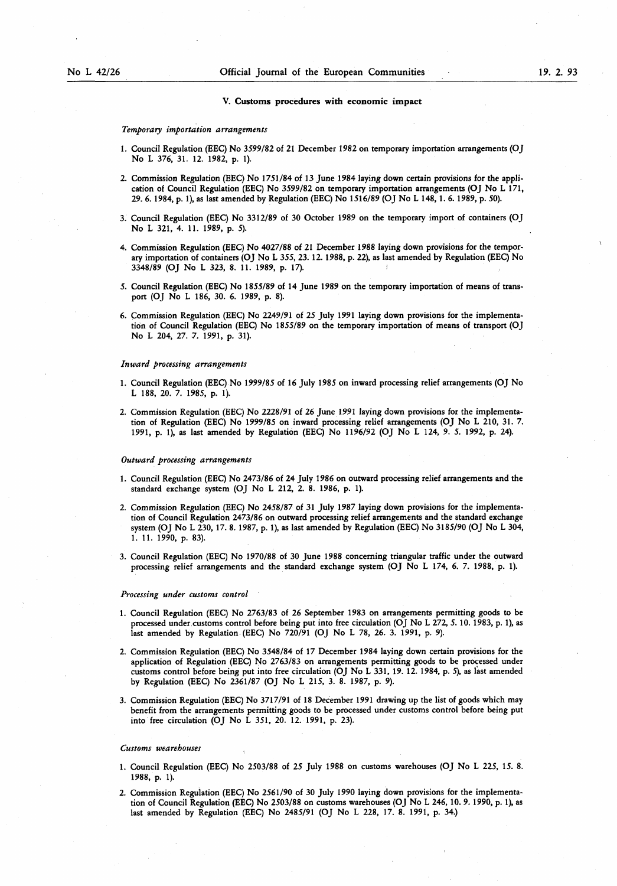#### V. Customs procedures with economic impact

#### Temporary importation arrangements

- 1. Council Regulation (EEC) No 3599/82 of 21 December 1982 on temporary importation arrangements (OJ No L 376, 31. 12. 1982, p. 1).
- 2. Commission Regulation (EEC) No <sup>1751</sup> /84 of <sup>13</sup> June 1984 laying down certain provisions for the application of Council Regulation (EEC) No 3599/82 on temporary importation arrangements (OJ No L 171, 29. 6. 1984, p. <sup>1</sup> ), as last amended by Regulation (EEC) No 1516/89 (OJ No L 148, <sup>1</sup> . 6. 1989, p. 50).
- 3. Council Regulation (EEC) No 3312/89 of 30 October 1989 on the temporary import of containers (OJ No L 321, 4. 11. 1989, p. 5).
- 4. Commission Regulation (EEC) No 4027/88 of <sup>21</sup> December 1988 laying down provisions for the temporary importation of containers (OJ No L 355, 23. 12. 1988, p. 22), as last amended by Regulation (EEC) No 3348/89 (OJ No L 323, 8. <sup>11</sup> . 1989, p. 17). <sup>I</sup>
- 5. Council Regulation (EEC) No 1855/89 of 14 June 1989 on the temporary importation of means of transport (OJ No L 186, 30. 6. 1989, p. 8).
- 6. Commission Regulation (EEC) No 2249/91 of 25 July 1991 laying down provisions for the implementation of Council Regulation (EEC) No 1855/89 on the temporary importation of means of transport (OJ No L 204, 27. 7. 1991, p. 31).

#### Inward processing arrangements

- <sup>1</sup> . Council Regulation (EEC) No 1999/85 of 16 July 1985 on inward processing relief arrangements (OJ No L 188, 20. 7. 1985, p. 1).
- 2. Commission Regulation (EEC) No 2228/91 of 26 June 1991 laying down provisions for the implementation of Regulation (EEC) No 1999/85 on inward processing relief arrangements (OJ No L 210, <sup>31</sup> . 7. <sup>1991</sup> , p. <sup>1</sup> ), as last amended by Regulation (EEC) No 1196/92 (OJ No <sup>L</sup> 124, 9. 5. 1992, p. 24).

#### Outward processing arrangements

- <sup>1</sup> . Council Regulation (EEC) No 2473/86 of 24 July 1986 on outward processing relief arrangements and the standard exchange system (OJ No L 212, 2. 8. 1986, p. 1).
- 2. Commission Regulation (EEC) No 2458/87 of <sup>31</sup> July 1987 laying down provisions for the implementation of Council Regulation 2473/86 on outward processing relief arrangements and the standard exchange system (OJ No <sup>L</sup> 230, 17. 8. 1987, p. <sup>1</sup> ), as last amended by Regulation (EEC) No 3185/90 (OJ No <sup>L</sup> 304, 1. 11. 1990, p. 83).
- 3. Council Regulation (EEC) No 1970/88 of 30 June 1988 concerning triangular traffic under the outward processing relief arrangements and the standard exchange system (OJ No L 174, 6. 7. 1988, p. 1).

#### Processing under customs control

- <sup>1</sup> . Council Regulation (EEC) No 2763/83 of 26 September 1983 on arrangements permitting goods to be processed under customs control before being put into free circulation (OJ No L 272, 5. 10. 1983, p. <sup>1</sup> ), as last amended by Regulation (EEC) No 720/91 (OJ No L 78, 26. 3. 1991, p. 9).
- 2. Commission Regulation (EEC) No 3548/84 of 17 December 1984 laying down certain provisions for the application of Regulation (EEC) No 2763/83 on arrangements permitting goods to be processed under customs control before being put into free circulation (OJ No L 331 , 19. 12. 1984, p. 5), as last amended by Regulation (EEC) No 2361/87 (OJ No L 215, 3. 8. 1987, p. 9).
- 3. Commission Regulation (EEC) No 3717/91 of 18 December 1991 drawing up the list of goods which may benefit from the arrangements permitting goods to be processed under customs control before being put into free circulation (OJ No L 351, 20. 12. 1991, p. 23).

#### Customs wearehouses

- 1. Council Regulation (EEC) No 2503/88 of 25 July 1988 on customs warehouses (OJ No L 225, 15. 8. 1988, p. 1).
- 2. Commission Regulation (EEC) No 2561 /90 of 30 July 1990 laying down provisions for the implementation of Council Regulation (EEC) No 2503/88 on customs warehouses (OJ No L 246, 10. 9. 1990, p. 1), as last amended by Regulation (EEC) No 2485/91 (OJ No L 228, 17. 8. 1991, p. 34.)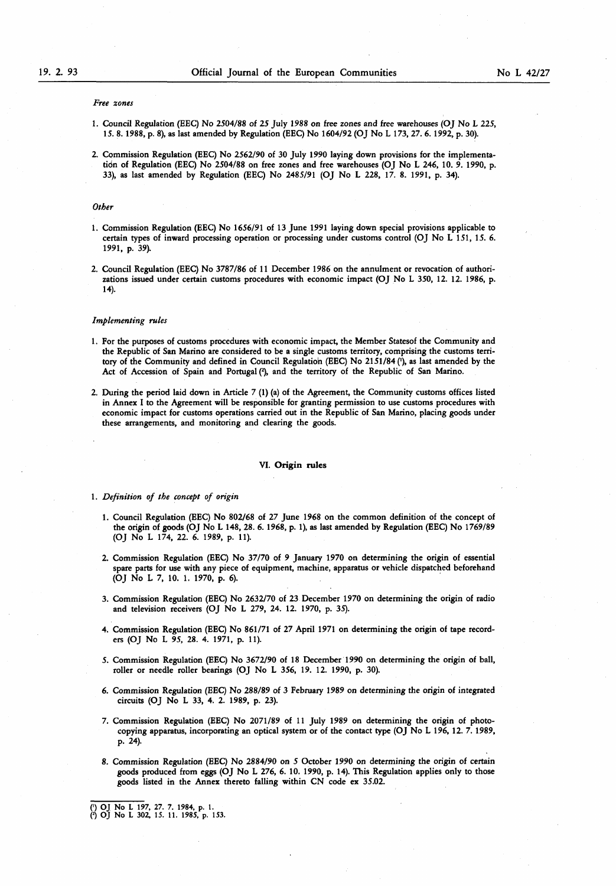#### Free zones

- <sup>1</sup> . Council Regulation (EEC) No 2504/88 of 25 July 1988 on free zones and free warehouses (OJ No L 225, 15. <sup>8</sup> . 1988, p. 8), as last amended by Regulation (EEC) No 1604/92 (OJ No L 173, 27. 6. 1992, p. 30).
- 2. Commission Regulation (EEC) No 2S62/90 of 30 July 1990 laying down provisions for the implementation of Regulation (EEC) No 2504/88 on free zones and free warehouses (OJ No L 246, 10. 9. 1990, p. 33), as last amended by Regulation (EEC) No 2485/91 (OJ No L 228, 17. 8. 1991, p. 34).

## **Other**

- <sup>1</sup> . Commission Regulation (EEC) No 1656/91 of 13 June 1991 laying down special provisions applicable to certain types of inward processing operation or processing under customs control (OJ No L 151, 15. 6. 1991, p. 39).
- 2. Council Regulation (EEC) No 3787/86 of <sup>11</sup> December 1986 on the annulment or revocation of authorizations issued under certain customs procedures with economic impact (OJ No L 350, 12. 12. 1986, p. 14).

#### Implementing rules

- <sup>1</sup> . For the purposes of customs procedures with economic impact, the Member Statesof the Community and the Republic of San Marino are considered to be a single customs territory, comprising the customs territory of the Community and defined in Council Regulation (EEC) No 2151/84 ('), as last amended by the Act of Accession of Spain and Portugal (2), and the territory of the Republic of San Marino.
- 2. During the period laid down in Article 7 (1) (a) of the Agreement, the Community customs offices listed in Annex I to the Agreement will be responsible for granting permission to use customs procedures with economic impact for customs operations carried out in the Republic of San Marino, placing goods under these arrangements, and monitoring and clearing the goods.

# VI. Origin rules

- 1. Definition of the concept of origin
	- <sup>1</sup> . Council Regulation (EEC) No 802/68 of 27 June 1968 on the common definition of the concept of the origin of goods (OJ No L 148, 28 . 6. 1968, p. <sup>1</sup> ), as last amended by Regulation (EEC) No 1769/89 (OJ No L 174, 22. 6. 1989, p. 11).
	- 2. Commission Regulation (EEC) No 37/70 of 9 January 1970 on determining the origin of essential spare parts for use with any piece of equipment, machine, apparatus or vehicle dispatched beforehand (OJ No L 7, 10. 1. 1970, p. 6).
	- 3. Commission Regulation (EEC) No 2632/70 of 23 December 1970 on determining the origin of radio and television receivers (OJ No L 279, 24. 12. 1970, p. 35).
	- 4. Commission Regulation (EEC) No 861 /71 of 27 April 1971 on determining the origin of tape recorders (OJ No L 95, 28. 4. 1971, p. 11).
	- 5. Commission Regulation (EEC) No 3672/90 of <sup>18</sup> December 1990 on determining the origin of ball, roller or needle roller bearings (OJ No L 356, 19. 12. 1990, p. 30).
	- 6. Commission Regulation (EEC) No 288/89 of 3 February 1989 on determining the origin of integrated circuits (OJ No L 33, 4. 2. 1989, p. 23).
	- 7. Commission Regulation (EEC) No 2071 /89 of <sup>11</sup> July 1989 on determining the origin of photocopying apparatus, incorporating an optical system or of the contact type (OJ No L 196, 12. 7. 1989, p. 24).
	- 8. Commission Regulation (EEC) No 2884/90 on 5 October 1990 on determining the origin of certain goods produced from eggs (OJ No L 276, 6. 10. 1990, p. 14). This Regulation applies only to those goods listed in the Annex thereto falling within CN code ex 35.02.

(') OJ No L 197, 27. 7. 1984, p. <sup>1</sup> . 0 OJ No <sup>L</sup> 302, IS. <sup>11</sup> . 1985, p. 153.